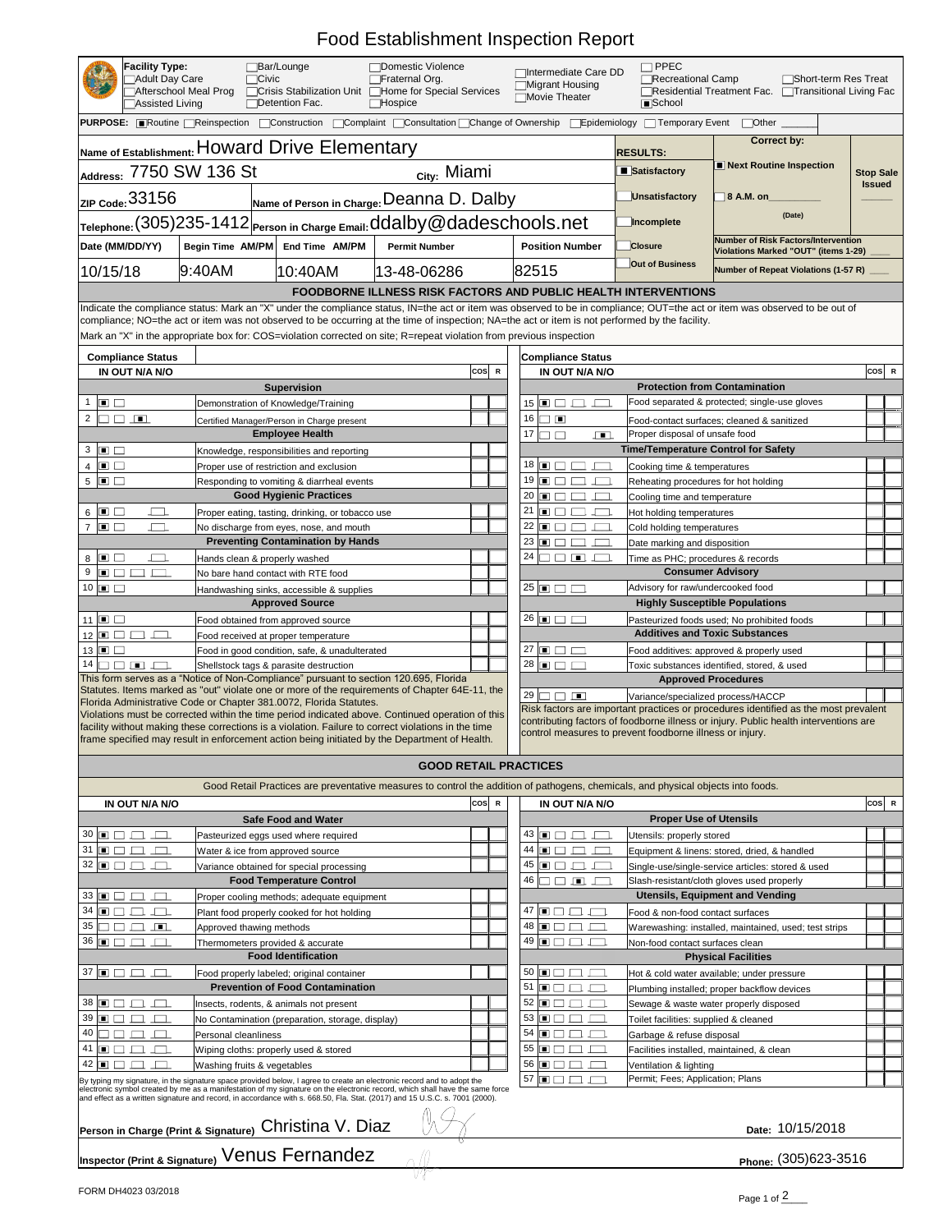## Food Establishment Inspection Report

| <b>READER</b>                                                                                                                                                                                                                                                                                                                  | <b>Facility Type:</b><br><b>]Adult Day Care</b><br><b>Assisted Living</b> | <b>Afterschool Meal Prog</b> | □Bar/Lounge<br>$\bigcap$ Civic<br><b>TCrisis Stabilization Unit</b>  <br>Detention Fac. | <b>TDomestic Violence</b><br><b>TFraternal Org.</b><br>Home for Special Services<br>$\Box$ Hospice | □Intermediate Care DD<br><b>■Migrant Housing</b><br>Movie Theater | $\Box$ PPEC<br>Recreational Camp<br><b>E</b> School | Short-term Res Treat<br><b>Factura Treatment Fac.</b> Formular Treatment Fac. Formula Treatment Fac. Formula T | Transitional Living Fac |
|--------------------------------------------------------------------------------------------------------------------------------------------------------------------------------------------------------------------------------------------------------------------------------------------------------------------------------|---------------------------------------------------------------------------|------------------------------|-----------------------------------------------------------------------------------------|----------------------------------------------------------------------------------------------------|-------------------------------------------------------------------|-----------------------------------------------------|----------------------------------------------------------------------------------------------------------------|-------------------------|
| PURPOSE: ■Routine Reinspection DConstruction DComplaint DConsultation Change of Ownership DEpidemiology DTemporary Event<br>Other                                                                                                                                                                                              |                                                                           |                              |                                                                                         |                                                                                                    |                                                                   |                                                     |                                                                                                                |                         |
|                                                                                                                                                                                                                                                                                                                                |                                                                           |                              | <b>Name of Establishment: HOWArd Drive Elementary</b>                                   |                                                                                                    |                                                                   | <b>RESULTS:</b>                                     | <b>Correct by:</b>                                                                                             |                         |
|                                                                                                                                                                                                                                                                                                                                |                                                                           | Address: 7750 SW 136 St      |                                                                                         | <sub>city:</sub> Miami                                                                             |                                                                   | ■ Satisfactory                                      | <b>Next Routine Inspection</b>                                                                                 | <b>Stop Sale</b>        |
|                                                                                                                                                                                                                                                                                                                                | ZIP $\frac{33156}{ }$                                                     |                              |                                                                                         | Name of Person in Charge: Deanna D. Dalby                                                          |                                                                   | Unsatisfactory                                      | <b>8 A.M. on</b>                                                                                               | <b>Issued</b>           |
| Telephone: (305)235-1412 Person in Charge Email: ddalby@dadeschools.net                                                                                                                                                                                                                                                        |                                                                           |                              | Incomplete                                                                              | (Date)                                                                                             |                                                                   |                                                     |                                                                                                                |                         |
| Date (MM/DD/YY)                                                                                                                                                                                                                                                                                                                |                                                                           | <b>Begin Time AM/PM</b>      | <b>End Time AM/PM</b>                                                                   | <b>Permit Number</b>                                                                               | <b>Position Number</b>                                            | <b>Closure</b>                                      | Number of Risk Factors/Intervention<br>Violations Marked "OUT" (items 1-29)                                    |                         |
| 10/15/18                                                                                                                                                                                                                                                                                                                       |                                                                           | $ 9:40$ AM                   | 10:40AM                                                                                 | 13-48-06286                                                                                        | 82515                                                             | <b>Out of Business</b>                              | Number of Repeat Violations (1-57 R) _____                                                                     |                         |
| FOODBORNE ILLNESS RISK FACTORS AND PUBLIC HEALTH INTERVENTIONS                                                                                                                                                                                                                                                                 |                                                                           |                              |                                                                                         |                                                                                                    |                                                                   |                                                     |                                                                                                                |                         |
| Indicate the compliance status: Mark an "X" under the compliance status, IN=the act or item was observed to be in compliance; OUT=the act or item was observed to be out of<br>compliance; NO=the act or item was not observed to be occurring at the time of inspection; NA=the act or item is not performed by the facility. |                                                                           |                              |                                                                                         |                                                                                                    |                                                                   |                                                     |                                                                                                                |                         |
| Mark an "X" in the appropriate box for: COS=violation corrected on site; R=repeat violation from previous inspection                                                                                                                                                                                                           |                                                                           |                              |                                                                                         |                                                                                                    |                                                                   |                                                     |                                                                                                                |                         |

| <b>Compliance Status</b>                                                                                                                                                                                                                                                                                                                                                                                                               |                                                                                                                                                                                                                                                        | <b>Compliance Status</b>  |                                                                                                                                 |                                                       |           |  |  |  |  |
|----------------------------------------------------------------------------------------------------------------------------------------------------------------------------------------------------------------------------------------------------------------------------------------------------------------------------------------------------------------------------------------------------------------------------------------|--------------------------------------------------------------------------------------------------------------------------------------------------------------------------------------------------------------------------------------------------------|---------------------------|---------------------------------------------------------------------------------------------------------------------------------|-------------------------------------------------------|-----------|--|--|--|--|
| IN OUT N/A N/O                                                                                                                                                                                                                                                                                                                                                                                                                         |                                                                                                                                                                                                                                                        | $ {\cos} $<br>$\mathsf R$ | IN OUT N/A N/O                                                                                                                  |                                                       | cos  R    |  |  |  |  |
|                                                                                                                                                                                                                                                                                                                                                                                                                                        | <b>Supervision</b>                                                                                                                                                                                                                                     |                           |                                                                                                                                 | <b>Protection from Contamination</b>                  |           |  |  |  |  |
| $\Box$                                                                                                                                                                                                                                                                                                                                                                                                                                 | Demonstration of Knowledge/Training                                                                                                                                                                                                                    |                           | $115$ $\Box$                                                                                                                    | Food separated & protected; single-use gloves         |           |  |  |  |  |
| $2 \Box$<br>$\sqrt{2}$                                                                                                                                                                                                                                                                                                                                                                                                                 | Certified Manager/Person in Charge present                                                                                                                                                                                                             |                           | 16<br>$\sqrt{2}$                                                                                                                | Food-contact surfaces; cleaned & sanitized            |           |  |  |  |  |
|                                                                                                                                                                                                                                                                                                                                                                                                                                        | <b>Employee Health</b>                                                                                                                                                                                                                                 |                           | 17<br>$\sqrt{2}$                                                                                                                | Proper disposal of unsafe food                        |           |  |  |  |  |
| $3 \Box$                                                                                                                                                                                                                                                                                                                                                                                                                               | Knowledge, responsibilities and reporting                                                                                                                                                                                                              |                           |                                                                                                                                 | <b>Time/Temperature Control for Safety</b>            |           |  |  |  |  |
| $4 \Box$                                                                                                                                                                                                                                                                                                                                                                                                                               | Proper use of restriction and exclusion                                                                                                                                                                                                                |                           | $18 \Box$                                                                                                                       | Cooking time & temperatures                           |           |  |  |  |  |
| $5 \Box$                                                                                                                                                                                                                                                                                                                                                                                                                               | Responding to vomiting & diarrheal events                                                                                                                                                                                                              |                           | $19 \sqrt{m} \sqrt{ }$                                                                                                          | Reheating procedures for hot holding                  |           |  |  |  |  |
|                                                                                                                                                                                                                                                                                                                                                                                                                                        | <b>Good Hygienic Practices</b>                                                                                                                                                                                                                         |                           | $20 \Box$                                                                                                                       | Cooling time and temperature                          |           |  |  |  |  |
| 6 $\Box$                                                                                                                                                                                                                                                                                                                                                                                                                               | Proper eating, tasting, drinking, or tobacco use                                                                                                                                                                                                       |                           | 21<br>$\Box$                                                                                                                    | Hot holding temperatures                              |           |  |  |  |  |
| $\Box$<br>$\overline{\phantom{a}}$                                                                                                                                                                                                                                                                                                                                                                                                     | No discharge from eyes, nose, and mouth                                                                                                                                                                                                                |                           | $22 \Box \Box \Box$                                                                                                             | Cold holding temperatures                             |           |  |  |  |  |
|                                                                                                                                                                                                                                                                                                                                                                                                                                        | <b>Preventing Contamination by Hands</b>                                                                                                                                                                                                               |                           | 23<br>$\Box$                                                                                                                    | Date marking and disposition                          |           |  |  |  |  |
| $8 \Box$                                                                                                                                                                                                                                                                                                                                                                                                                               | Hands clean & properly washed                                                                                                                                                                                                                          |                           | $24 \Box$<br>$\Box$                                                                                                             | Time as PHC; procedures & records                     |           |  |  |  |  |
| 9<br>$\begin{array}{c c c c c} \hline \textbf{A} & \textbf{B} & \textbf{B} & \textbf{B} & \textbf{B} & \textbf{B} \\ \hline \textbf{B} & \textbf{B} & \textbf{B} & \textbf{B} & \textbf{B} & \textbf{B} & \textbf{B} & \textbf{B} \\ \hline \textbf{B} & \textbf{B} & \textbf{B} & \textbf{B} & \textbf{B} & \textbf{B} & \textbf{B} & \textbf{B} & \textbf{B} & \textbf{B} & \textbf{B} \\ \hline \textbf{B} & \textbf{B} & \textbf{$ | No bare hand contact with RTE food                                                                                                                                                                                                                     |                           |                                                                                                                                 | <b>Consumer Advisory</b>                              |           |  |  |  |  |
| $10 \Box$                                                                                                                                                                                                                                                                                                                                                                                                                              | Handwashing sinks, accessible & supplies                                                                                                                                                                                                               |                           | $\sqrt{25}$ $\Box$ $\Box$                                                                                                       | Advisory for raw/undercooked food                     |           |  |  |  |  |
|                                                                                                                                                                                                                                                                                                                                                                                                                                        | <b>Approved Source</b>                                                                                                                                                                                                                                 |                           |                                                                                                                                 | <b>Highly Susceptible Populations</b>                 |           |  |  |  |  |
| 11 $\Box$                                                                                                                                                                                                                                                                                                                                                                                                                              | Food obtained from approved source                                                                                                                                                                                                                     |                           | $\overline{\phantom{0}}$ 26 $\overline{\phantom{0}}$ $\overline{\phantom{0}}$ $\overline{\phantom{0}}$ $\overline{\phantom{0}}$ | Pasteurized foods used; No prohibited foods           |           |  |  |  |  |
| $12 \Box$                                                                                                                                                                                                                                                                                                                                                                                                                              | Food received at proper temperature                                                                                                                                                                                                                    |                           |                                                                                                                                 | <b>Additives and Toxic Substances</b>                 |           |  |  |  |  |
| $13 \Box$                                                                                                                                                                                                                                                                                                                                                                                                                              | Food in good condition, safe, & unadulterated                                                                                                                                                                                                          |                           | $\sqrt{27}$ $\boxed{)}$ $\boxed{)}$                                                                                             | Food additives: approved & properly used              |           |  |  |  |  |
| $14$ $\Box$ $\Box$ $\Box$                                                                                                                                                                                                                                                                                                                                                                                                              | Shellstock tags & parasite destruction                                                                                                                                                                                                                 |                           | $28 \Box$                                                                                                                       | Toxic substances identified, stored, & used           |           |  |  |  |  |
|                                                                                                                                                                                                                                                                                                                                                                                                                                        | This form serves as a "Notice of Non-Compliance" pursuant to section 120.695, Florida                                                                                                                                                                  |                           |                                                                                                                                 | <b>Approved Procedures</b>                            |           |  |  |  |  |
|                                                                                                                                                                                                                                                                                                                                                                                                                                        | Statutes. Items marked as "out" violate one or more of the requirements of Chapter 64E-11, the                                                                                                                                                         |                           | 29 $\Box$                                                                                                                       |                                                       |           |  |  |  |  |
|                                                                                                                                                                                                                                                                                                                                                                                                                                        | Florida Administrative Code or Chapter 381.0072, Florida Statutes.                                                                                                                                                                                     |                           | Variance/specialized process/HACCP<br>Risk factors are important practices or procedures identified as the most prevalent       |                                                       |           |  |  |  |  |
|                                                                                                                                                                                                                                                                                                                                                                                                                                        | Violations must be corrected within the time period indicated above. Continued operation of this                                                                                                                                                       |                           | contributing factors of foodborne illness or injury. Public health interventions are                                            |                                                       |           |  |  |  |  |
|                                                                                                                                                                                                                                                                                                                                                                                                                                        | facility without making these corrections is a violation. Failure to correct violations in the time<br>frame specified may result in enforcement action being initiated by the Department of Health.                                                   |                           | control measures to prevent foodborne illness or injury.                                                                        |                                                       |           |  |  |  |  |
|                                                                                                                                                                                                                                                                                                                                                                                                                                        |                                                                                                                                                                                                                                                        |                           |                                                                                                                                 |                                                       |           |  |  |  |  |
|                                                                                                                                                                                                                                                                                                                                                                                                                                        |                                                                                                                                                                                                                                                        |                           | <b>GOOD RETAIL PRACTICES</b>                                                                                                    |                                                       |           |  |  |  |  |
|                                                                                                                                                                                                                                                                                                                                                                                                                                        |                                                                                                                                                                                                                                                        |                           |                                                                                                                                 |                                                       |           |  |  |  |  |
|                                                                                                                                                                                                                                                                                                                                                                                                                                        |                                                                                                                                                                                                                                                        |                           |                                                                                                                                 |                                                       |           |  |  |  |  |
|                                                                                                                                                                                                                                                                                                                                                                                                                                        | Good Retail Practices are preventative measures to control the addition of pathogens, chemicals, and physical objects into foods.                                                                                                                      |                           |                                                                                                                                 |                                                       |           |  |  |  |  |
| IN OUT N/A N/O                                                                                                                                                                                                                                                                                                                                                                                                                         |                                                                                                                                                                                                                                                        | $ {\cos} $                | IN OUT N/A N/O                                                                                                                  |                                                       | $ cos $ R |  |  |  |  |
|                                                                                                                                                                                                                                                                                                                                                                                                                                        | <b>Safe Food and Water</b>                                                                                                                                                                                                                             |                           |                                                                                                                                 | <b>Proper Use of Utensils</b>                         |           |  |  |  |  |
| $30\Box$ $\Box$ $\Box$                                                                                                                                                                                                                                                                                                                                                                                                                 | Pasteurized eggs used where required                                                                                                                                                                                                                   |                           | $43 \Box \Box \Box$                                                                                                             | Utensils: properly stored                             |           |  |  |  |  |
| $\sqrt{31}$ $\boxed{=}$ $\boxed{=}$ $\boxed{=}$ $\boxed{=}$                                                                                                                                                                                                                                                                                                                                                                            | Water & ice from approved source                                                                                                                                                                                                                       |                           | $44 \sqrt{m} \sqrt{m}$<br>$\Box$                                                                                                | Equipment & linens: stored, dried, & handled          |           |  |  |  |  |
| $32 \Box$                                                                                                                                                                                                                                                                                                                                                                                                                              | Variance obtained for special processing                                                                                                                                                                                                               |                           | $45$ $\Box$ $\Box$ $\Box$                                                                                                       | Single-use/single-service articles: stored & used     |           |  |  |  |  |
|                                                                                                                                                                                                                                                                                                                                                                                                                                        | <b>Food Temperature Control</b>                                                                                                                                                                                                                        |                           | $46 \Box \Box \Box$                                                                                                             | Slash-resistant/cloth gloves used properly            |           |  |  |  |  |
| $33 \Box \Box \Box \Box$                                                                                                                                                                                                                                                                                                                                                                                                               | Proper cooling methods; adequate equipment                                                                                                                                                                                                             |                           |                                                                                                                                 | <b>Utensils, Equipment and Vending</b>                |           |  |  |  |  |
| $34 \sqrt{m} \sqrt{ }$<br>$\sqrt{2}$                                                                                                                                                                                                                                                                                                                                                                                                   | Plant food properly cooked for hot holding                                                                                                                                                                                                             |                           | $.47 \square$                                                                                                                   | Food & non-food contact surfaces                      |           |  |  |  |  |
| $35 \Box \Box$<br>$\Box$<br>$\sqrt{1-\frac{1}{2}}$                                                                                                                                                                                                                                                                                                                                                                                     | Approved thawing methods                                                                                                                                                                                                                               |                           | $48 \mid \blacksquare$                                                                                                          | Warewashing: installed, maintained, used; test strips |           |  |  |  |  |
| $36 \Box \Box \Box \Box$                                                                                                                                                                                                                                                                                                                                                                                                               | Thermometers provided & accurate                                                                                                                                                                                                                       |                           | $49$ $\Box$ $\Box$ $\Box$                                                                                                       | Non-food contact surfaces clean                       |           |  |  |  |  |
|                                                                                                                                                                                                                                                                                                                                                                                                                                        | <b>Food Identification</b>                                                                                                                                                                                                                             |                           |                                                                                                                                 | <b>Physical Facilities</b>                            |           |  |  |  |  |
| $\sqrt{37}$ $\boxed{=}$ $\boxed{=}$ $\boxed{=}$ $\boxed{=}$                                                                                                                                                                                                                                                                                                                                                                            | Food properly labeled; original container                                                                                                                                                                                                              |                           | $50$ $\Box$<br>$\Box$                                                                                                           | Hot & cold water available; under pressure            |           |  |  |  |  |
|                                                                                                                                                                                                                                                                                                                                                                                                                                        | <b>Prevention of Food Contamination</b>                                                                                                                                                                                                                |                           | 51                                                                                                                              | Plumbing installed; proper backflow devices           |           |  |  |  |  |
| $38 \Box \Box \Box \Box$                                                                                                                                                                                                                                                                                                                                                                                                               | Insects, rodents, & animals not present                                                                                                                                                                                                                |                           | $52 \Box$                                                                                                                       | Sewage & waste water properly disposed                |           |  |  |  |  |
| $39 \sqrt{m}$                                                                                                                                                                                                                                                                                                                                                                                                                          | No Contamination (preparation, storage, display)                                                                                                                                                                                                       |                           | $53 \Box$<br>$\Box$                                                                                                             | Toilet facilities: supplied & cleaned                 |           |  |  |  |  |
| 40 $\Gamma$                                                                                                                                                                                                                                                                                                                                                                                                                            | <b>Personal cleanliness</b>                                                                                                                                                                                                                            |                           | 54<br>$\sqrt{2}$                                                                                                                | Garbage & refuse disposal                             |           |  |  |  |  |
| $41$ $\Box$                                                                                                                                                                                                                                                                                                                                                                                                                            | Wiping cloths: properly used & stored                                                                                                                                                                                                                  |                           | 55 $\blacksquare$                                                                                                               | Facilities installed, maintained, & clean             |           |  |  |  |  |
| $42 \Box$                                                                                                                                                                                                                                                                                                                                                                                                                              |                                                                                                                                                                                                                                                        |                           | 56                                                                                                                              | Ventilation & lighting                                |           |  |  |  |  |
|                                                                                                                                                                                                                                                                                                                                                                                                                                        | Washing fruits & vegetables                                                                                                                                                                                                                            |                           | $57$ $\Box$                                                                                                                     | Permit; Fees; Application; Plans                      |           |  |  |  |  |
|                                                                                                                                                                                                                                                                                                                                                                                                                                        | By typing my signature, in the signature space provided below, I agree to create an electronic record and to adopt the<br>electronic symbol created by me as a manifestation of my signature on the electronic record, which shall have the same force |                           |                                                                                                                                 |                                                       |           |  |  |  |  |
|                                                                                                                                                                                                                                                                                                                                                                                                                                        | and effect as a written signature and record, in accordance with s. 668.50, Fla. Stat. (2017) and 15 U.S.C. s. 7001 (2000).                                                                                                                            |                           |                                                                                                                                 |                                                       |           |  |  |  |  |
|                                                                                                                                                                                                                                                                                                                                                                                                                                        |                                                                                                                                                                                                                                                        |                           |                                                                                                                                 |                                                       |           |  |  |  |  |
|                                                                                                                                                                                                                                                                                                                                                                                                                                        | Person in Charge (Print & Signature) Christina V. Diaz                                                                                                                                                                                                 |                           |                                                                                                                                 | Date: 10/15/2018                                      |           |  |  |  |  |
|                                                                                                                                                                                                                                                                                                                                                                                                                                        |                                                                                                                                                                                                                                                        |                           |                                                                                                                                 |                                                       |           |  |  |  |  |
|                                                                                                                                                                                                                                                                                                                                                                                                                                        | Inspector (Print & Signature) Venus Fernandez                                                                                                                                                                                                          |                           |                                                                                                                                 | Phone: (305)623-3516                                  |           |  |  |  |  |



FORM DH4023 03/2018

- 11